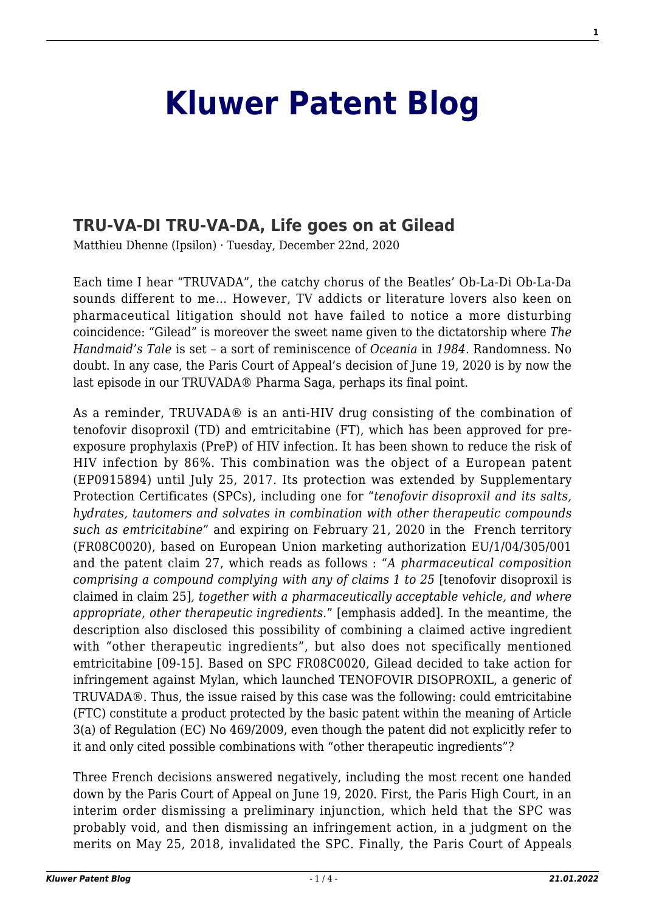## **[Kluwer Patent Blog](http://patentblog.kluweriplaw.com/)**

## **[TRU-VA-DI TRU-VA-DA, Life goes on at Gilead](http://patentblog.kluweriplaw.com/2020/12/22/tru-va-di-tru-va-da-life-goes-on-at-gilead/)**

Matthieu Dhenne (Ipsilon) · Tuesday, December 22nd, 2020

Each time I hear "TRUVADA", the catchy chorus of the Beatles' Ob-La-Di Ob-La-Da sounds different to me… However, TV addicts or literature lovers also keen on pharmaceutical litigation should not have failed to notice a more disturbing coincidence: "Gilead" is moreover the sweet name given to the dictatorship where *The Handmaid's Tale* is set – a sort of reminiscence of *Oceania* in *1984*. Randomness. No doubt. In any case, the Paris Court of Appeal's decision of June 19, 2020 is by now the last episode in our TRUVADA® Pharma Saga, perhaps its final point.

As a reminder, TRUVADA® is an anti-HIV drug consisting of the combination of tenofovir disoproxil (TD) and emtricitabine (FT), which has been approved for preexposure prophylaxis (PreP) of HIV infection. It has been shown to reduce the risk of HIV infection by 86%. This combination was the object of a European patent (EP0915894) until July 25, 2017. Its protection was extended by Supplementary Protection Certificates (SPCs), including one for "*tenofovir disoproxil and its salts, hydrates, tautomers and solvates in combination with other therapeutic compounds such as emtricitabine*" and expiring on February 21, 2020 in the French territory (FR08C0020), based on European Union marketing authorization EU/1/04/305/001 and the patent claim 27, which reads as follows : "*A pharmaceutical composition comprising a compound complying with any of claims 1 to 25* [tenofovir disoproxil is claimed in claim 25]*, together with a pharmaceutically acceptable vehicle, and where appropriate, other therapeutic ingredients.*" [emphasis added]. In the meantime, the description also disclosed this possibility of combining a claimed active ingredient with "other therapeutic ingredients", but also does not specifically mentioned emtricitabine [09-15]. Based on SPC FR08C0020, Gilead decided to take action for infringement against Mylan, which launched TENOFOVIR DISOPROXIL, a generic of TRUVADA®. Thus, the issue raised by this case was the following: could emtricitabine (FTC) constitute a product protected by the basic patent within the meaning of Article 3(a) of Regulation (EC) No 469/2009, even though the patent did not explicitly refer to it and only cited possible combinations with "other therapeutic ingredients"?

Three French decisions answered negatively, including the most recent one handed down by the Paris Court of Appeal on June 19, 2020. First, the Paris High Court, in an interim order dismissing a preliminary injunction, which held that the SPC was probably void, and then dismissing an infringement action, in a judgment on the merits on May 25, 2018, invalidated the SPC. Finally, the Paris Court of Appeals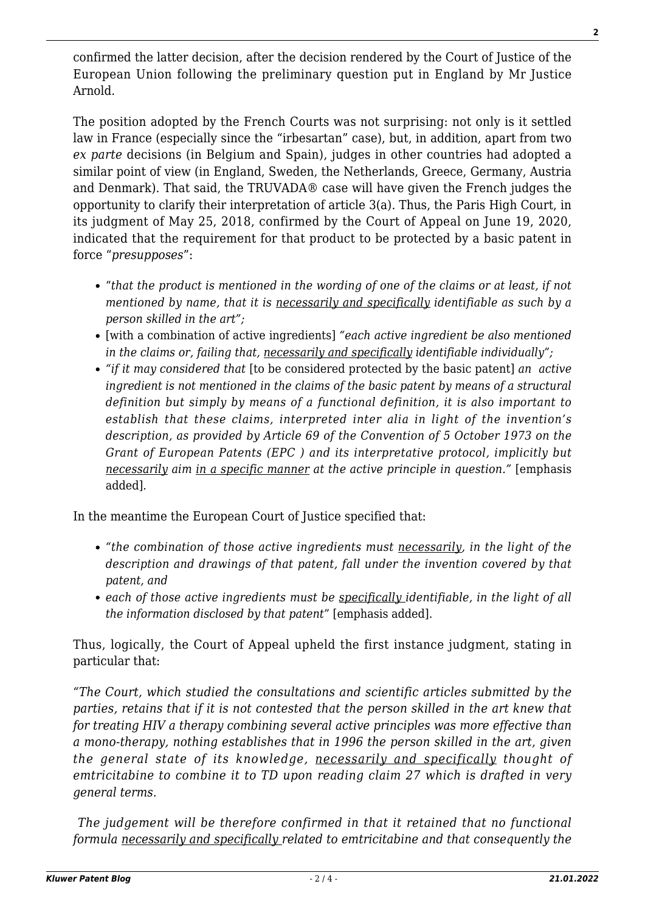confirmed the latter decision, after the decision rendered by the Court of Justice of the European Union following the preliminary question put in England by Mr Justice Arnold.

The position adopted by the French Courts was not surprising: not only is it settled law in France (especially since the "irbesartan" case), but, in addition, apart from two *ex parte* decisions (in Belgium and Spain), judges in other countries had adopted a similar point of view (in England, Sweden, the Netherlands, Greece, Germany, Austria and Denmark). That said, the TRUVADA® case will have given the French judges the opportunity to clarify their interpretation of article 3(a). Thus, the Paris High Court, in its judgment of May 25, 2018, confirmed by the Court of Appeal on June 19, 2020, indicated that the requirement for that product to be protected by a basic patent in force "*presupposes*":

- "*that the product is mentioned in the wording of one of the claims or at least, if not mentioned by name, that it is necessarily and specifically identifiable as such by a person skilled in the art";*
- [with a combination of active ingredients] *"each active ingredient be also mentioned in the claims or, failing that, necessarily and specifically identifiable individually";*
- *"if it may considered that* [to be considered protected by the basic patent] *an active ingredient is not mentioned in the claims of the basic patent by means of a structural definition but simply by means of a functional definition, it is also important to establish that these claims, interpreted inter alia in light of the invention's description, as provided by Article 69 of the Convention of 5 October 1973 on the Grant of European Patents (EPC ) and its interpretative protocol, implicitly but necessarily aim in a specific manner at the active principle in question."* [emphasis added].

In the meantime the European Court of Justice specified that:

- *"the combination of those active ingredients must necessarily, in the light of the description and drawings of that patent, fall under the invention covered by that patent, and*
- *each of those active ingredients must be specifically identifiable, in the light of all the information disclosed by that patent*" [emphasis added].

Thus, logically, the Court of Appeal upheld the first instance judgment, stating in particular that:

*"The Court, which studied the consultations and scientific articles submitted by the parties, retains that if it is not contested that the person skilled in the art knew that for treating HIV a therapy combining several active principles was more effective than a mono-therapy, nothing establishes that in 1996 the person skilled in the art, given the general state of its knowledge, necessarily and specifically thought of emtricitabine to combine it to TD upon reading claim 27 which is drafted in very general terms.*

*The judgement will be therefore confirmed in that it retained that no functional formula necessarily and specifically related to emtricitabine and that consequently the*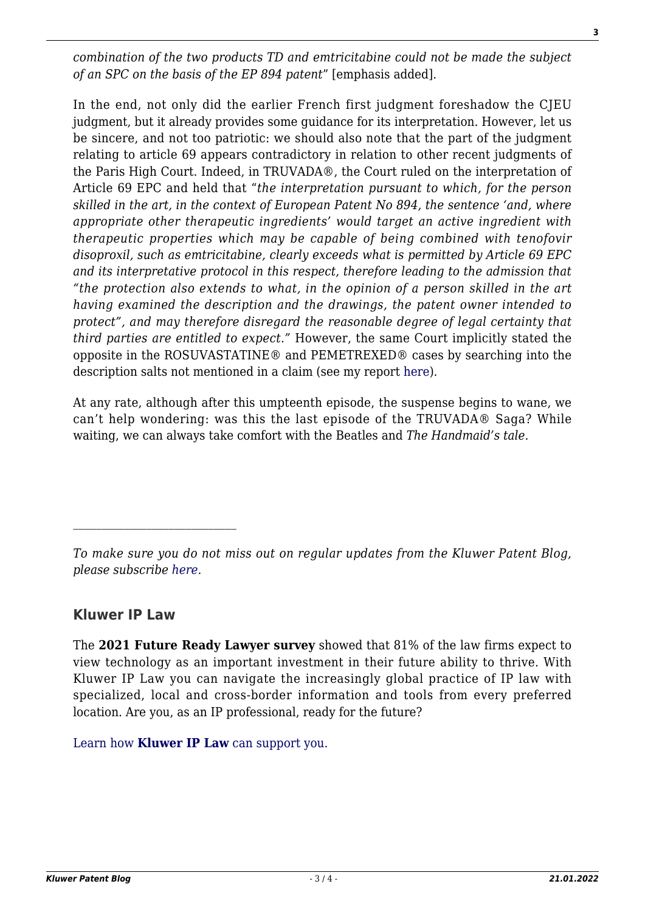*combination of the two products TD and emtricitabine could not be made the subject of an SPC on the basis of the EP 894 patent*" [emphasis added].

In the end, not only did the earlier French first judgment foreshadow the CJEU judgment, but it already provides some guidance for its interpretation. However, let us be sincere, and not too patriotic: we should also note that the part of the judgment relating to article 69 appears contradictory in relation to other recent judgments of the Paris High Court. Indeed, in TRUVADA®, the Court ruled on the interpretation of Article 69 EPC and held that "*the interpretation pursuant to which, for the person skilled in the art, in the context of European Patent No 894, the sentence 'and, where appropriate other therapeutic ingredients' would target an active ingredient with therapeutic properties which may be capable of being combined with tenofovir disoproxil, such as emtricitabine, clearly exceeds what is permitted by Article 69 EPC and its interpretative protocol in this respect, therefore leading to the admission that "the protection also extends to what, in the opinion of a person skilled in the art having examined the description and the drawings, the patent owner intended to protect", and may therefore disregard the reasonable degree of legal certainty that third parties are entitled to expect."* However, the same Court implicitly stated the opposite in the ROSUVASTATINE® and PEMETREXED® cases by searching into the description salts not mentioned in a claim (see my report [here\)](http://patentblog.kluweriplaw.com/2020/10/26/pemetrexed-patent-infringement-in-france-e28-million-in-damages-for-eli-lilly-france-is-back/).

At any rate, although after this umpteenth episode, the suspense begins to wane, we can't help wondering: was this the last episode of the TRUVADA® Saga? While waiting, we can always take comfort with the Beatles and *The Handmaid's tale*.

## **Kluwer IP Law**

The **2021 Future Ready Lawyer survey** showed that 81% of the law firms expect to view technology as an important investment in their future ability to thrive. With Kluwer IP Law you can navigate the increasingly global practice of IP law with specialized, local and cross-border information and tools from every preferred location. Are you, as an IP professional, ready for the future?

[Learn how](https://www.wolterskluwer.com/en/solutions/kluweriplaw?utm_source=patentblog&utm_medium=articleCTA&utm_campaign=article-banner) **[Kluwer IP Law](https://www.wolterskluwer.com/en/solutions/kluweriplaw?utm_source=patentblog&utm_medium=articleCTA&utm_campaign=article-banner)** [can support you.](https://www.wolterskluwer.com/en/solutions/kluweriplaw?utm_source=patentblog&utm_medium=articleCTA&utm_campaign=article-banner)

*To make sure you do not miss out on regular updates from the Kluwer Patent Blog, please subscribe [here.](http://patentblog.kluweriplaw.com/newsletter)*